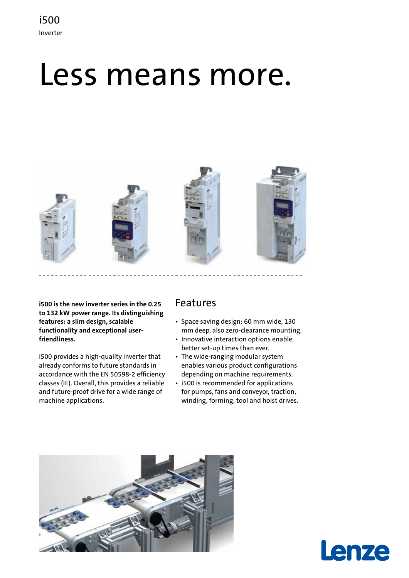## i500 Inverter

# Less means more.



**i500 is the new inverter series in the 0.25 to 132 kW power range. Its distinguishing features: a slim design, scalable functionality and exceptional userfriendliness.**

i500 provides a high-quality inverter that already conforms to future standards in accordance with the EN 50598-2 efficiency classes (IE). Overall, this provides a reliable and future-proof drive for a wide range of machine applications.

## Features

- Space saving design: 60 mm wide, 130 mm deep, also zero-clearance mounting.
- Innovative interaction options enable better set-up times than ever.
- The wide-ranging modular system enables various product configurations depending on machine requirements.
- i500 is recommended for applications for pumps, fans and conveyor, traction, winding, forming, tool and hoist drives.